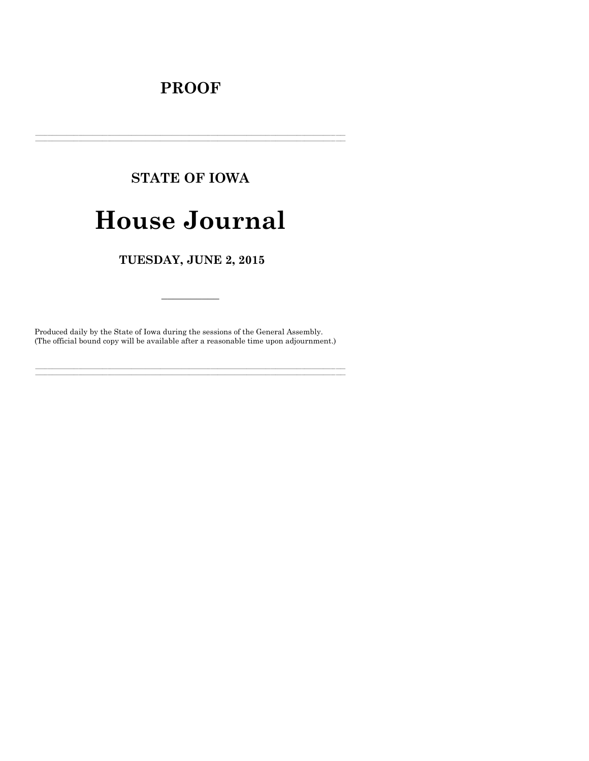# **PROOF**

# **STATE OF IOWA House Journal**

TUESDAY, JUNE 2, 2015

Produced daily by the State of Iowa during the sessions of the General Assembly. (The official bound copy will be available after a reasonable time upon adjournment.)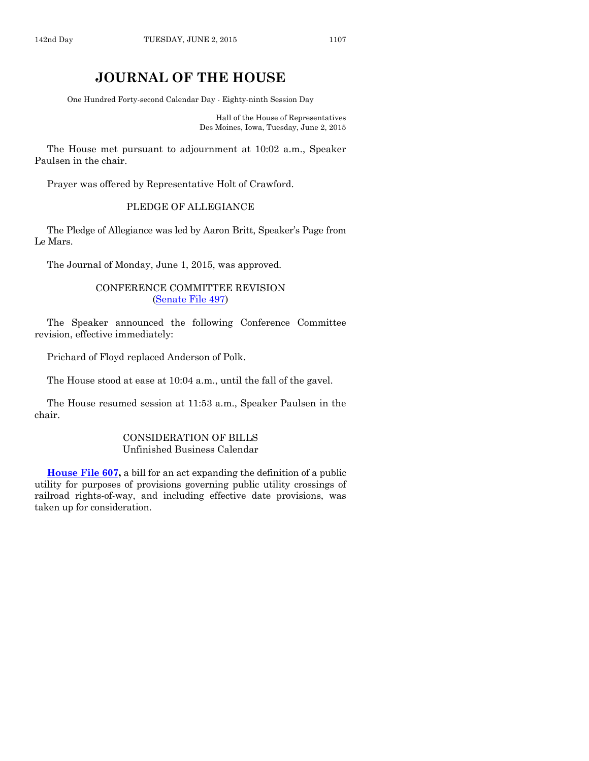# **JOURNAL OF THE HOUSE**

One Hundred Forty-second Calendar Day - Eighty-ninth Session Day

Hall of the House of Representatives Des Moines, Iowa, Tuesday, June 2, 2015

The House met pursuant to adjournment at 10:02 a.m., Speaker Paulsen in the chair.

Prayer was offered by Representative Holt of Crawford.

# PLEDGE OF ALLEGIANCE

The Pledge of Allegiance was led by Aaron Britt, Speaker's Page from Le Mars.

The Journal of Monday, June 1, 2015, was approved.

# CONFERENCE COMMITTEE REVISION [\(Senate File 497\)](http://coolice.legis.iowa.gov/Cool-ICE/default.asp?Category=billinfo&Service=Billbook&frame=1&GA=86&hbill=SF497)

The Speaker announced the following Conference Committee revision, effective immediately:

Prichard of Floyd replaced Anderson of Polk.

The House stood at ease at 10:04 a.m., until the fall of the gavel.

The House resumed session at 11:53 a.m., Speaker Paulsen in the chair.

# CONSIDERATION OF BILLS Unfinished Business Calendar

**[House File 607,](http://coolice.legis.iowa.gov/Cool-ICE/default.asp?Category=billinfo&Service=Billbook&frame=1&GA=86&hbill=HF607)** a bill for an act expanding the definition of a public utility for purposes of provisions governing public utility crossings of railroad rights-of-way, and including effective date provisions, was taken up for consideration.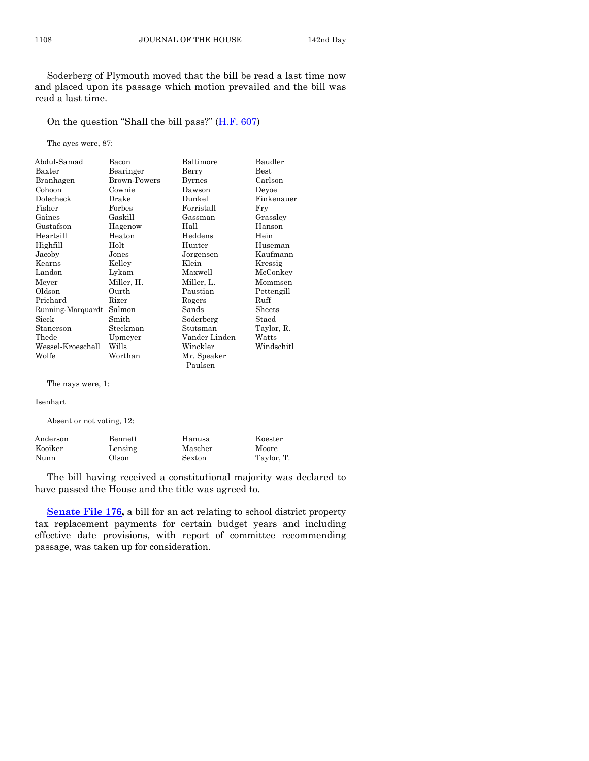Soderberg of Plymouth moved that the bill be read a last time now and placed upon its passage which motion prevailed and the bill was read a last time.

On the question "Shall the bill pass?" [\(H.F. 607\)](http://coolice.legis.iowa.gov/Cool-ICE/default.asp?Category=billinfo&Service=Billbook&frame=1&GA=86&hbill=HF607)

The ayes were, 87:

| Abdul-Samad       | Bacon        | Baltimore     | Baudler       |
|-------------------|--------------|---------------|---------------|
| Baxter            | Bearinger    | Berry         | $_{\rm Best}$ |
| Branhagen         | Brown-Powers | <b>Byrnes</b> | Carlson       |
| Cohoon            | Cownie       | Dawson        | Devoe         |
| Dolecheck         | Drake        | Dunkel        | Finkenauer    |
| Fisher            | Forbes       | Forristall    | Fry           |
| Gaines            | Gaskill      | Gassman       | Grassley      |
| Gustafson         | Hagenow      | Hall          | Hanson        |
| Heartsill         | Heaton       | Heddens       | Hein          |
| Highfill          | Holt         | Hunter        | Huseman       |
| Jacoby            | Jones        | Jorgensen     | Kaufmann      |
| Kearns            | Kelley       | Klein         | Kressig       |
| Landon            | Lykam        | Maxwell       | McConkey      |
| Meyer             | Miller, H.   | Miller, L.    | Mommsen       |
| Oldson            | Ourth        | Paustian      | Pettengill    |
| Prichard          | Rizer        | Rogers        | Ruff          |
| Running-Marquardt | Salmon       | Sands         | Sheets        |
| Sieck             | Smith        | Soderberg     | Staed         |
| Stanerson         | Steckman     | Stutsman      | Taylor, R.    |
| Thede             | Upmeyer      | Vander Linden | Watts         |
| Wessel-Kroeschell | Wills        | Winckler      | Windschitl    |
| Wolfe             | Worthan      | Mr. Speaker   |               |
|                   |              | Paulsen       |               |

The nays were, 1:

Isenhart

Absent or not voting, 12:

| Anderson | Bennett | Hanusa  | Koester    |
|----------|---------|---------|------------|
| Kooiker  | Lensing | Mascher | Moore      |
| Nunn     | Olson   | Sexton  | Taylor, T. |

The bill having received a constitutional majority was declared to have passed the House and the title was agreed to.

**[Senate File 176,](http://coolice.legis.iowa.gov/Cool-ICE/default.asp?Category=billinfo&Service=Billbook&frame=1&GA=86&hbill=SF176)** a bill for an act relating to school district property tax replacement payments for certain budget years and including effective date provisions, with report of committee recommending passage, was taken up for consideration.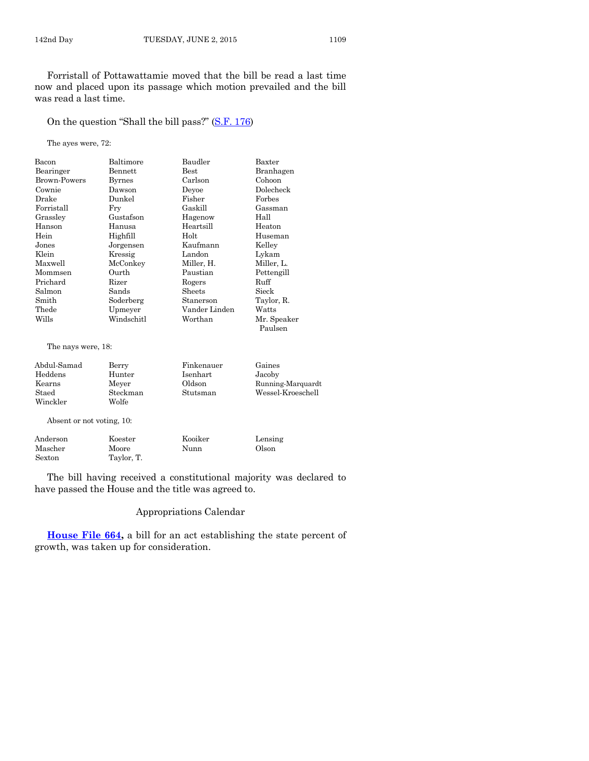Forristall of Pottawattamie moved that the bill be read a last time now and placed upon its passage which motion prevailed and the bill was read a last time.

#### On the question "Shall the bill pass?" [\(S.F. 176\)](http://coolice.legis.iowa.gov/Cool-ICE/default.asp?Category=billinfo&Service=Billbook&frame=1&GA=86&hbill=SF176)

The ayes were, 72:

| Bacon              | Baltimore  | Baudler       | Baxter                 |
|--------------------|------------|---------------|------------------------|
| Bearinger          | Bennett    | $_{\rm Best}$ | Branhagen              |
| Brown-Powers       | Byrnes     | Carlson       | Cohoon                 |
| Cownie             | Dawson     | Devoe         | Dolecheck              |
| Drake              | Dunkel     | Fisher        | Forbes                 |
| $\rm Forristall$   | Fry        | Gaskill       | Gassman                |
| Grassley           | Gustafson  | Hagenow       | Hall                   |
| Hanson             | Hanusa     | Heartsill     | Heaton                 |
| Hein               | Highfill   | Holt          | Huseman                |
| Jones              | Jorgensen  | Kaufmann      | Kelley                 |
| Klein              | Kressig    | Landon        | Lykam                  |
| Maxwell            | McConkey   | Miller, H.    | Miller, L.             |
| Mommsen            | Ourth      | Paustian      | Pettengill             |
| Prichard           | Rizer      | Rogers        | Ruff                   |
| Salmon             | Sands      | Sheets        | Sieck                  |
| Smith              | Soderberg  | Stanerson     | Taylor, R.             |
| Thede              | Upmeyer    | Vander Linden | Watts                  |
| Wills              | Windschitl | Worthan       | Mr. Speaker<br>Paulsen |
|                    |            |               |                        |
| The nays were, 18: |            |               |                        |

| Abdul-Samad | Berry    | Finkenauer | Gaines            |
|-------------|----------|------------|-------------------|
| Heddens     | Hunter   | Isenhart   | Jacoby            |
| Kearns      | Mever    | Oldson     | Running-Marquardt |
| Staed       | Steckman | Stutsman   | Wessel-Kroeschell |
| Winckler    | Wolfe    |            |                   |
|             |          |            |                   |

Absent or not voting, 10:

| Anderson | Koester    | Kooiker | Lensing |
|----------|------------|---------|---------|
| Mascher  | Moore      | Nunn    | Olson   |
| Sexton   | Taylor, T. |         |         |

The bill having received a constitutional majority was declared to have passed the House and the title was agreed to.

#### Appropriations Calendar

**[House File 664,](http://coolice.legis.iowa.gov/Cool-ICE/default.asp?Category=billinfo&Service=Billbook&frame=1&GA=86&hbill=HF664)** a bill for an act establishing the state percent of growth, was taken up for consideration.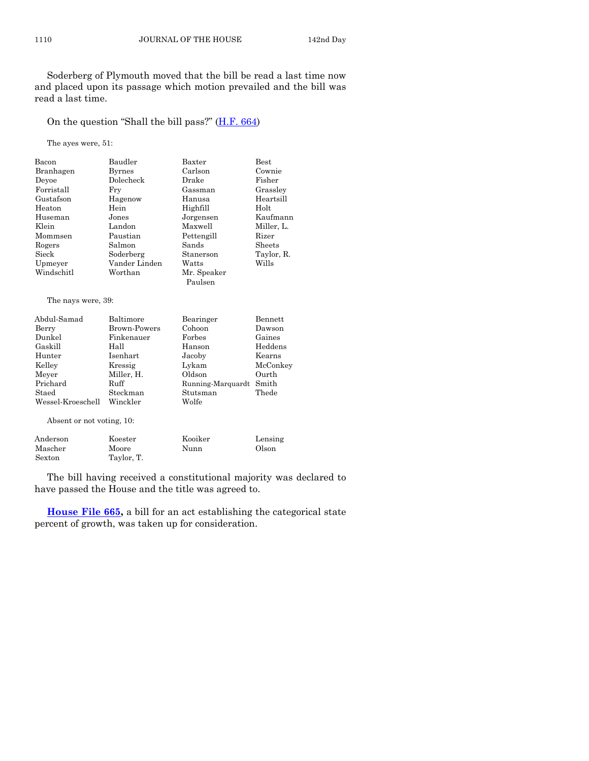Soderberg of Plymouth moved that the bill be read a last time now and placed upon its passage which motion prevailed and the bill was read a last time.

# On the question "Shall the bill pass?" ([H.F. 664\)](http://coolice.legis.iowa.gov/Cool-ICE/default.asp?Category=billinfo&Service=Billbook&frame=1&GA=86&hbill=HF664)

The ayes were, 51:

| Bacon                     | Baudler             | Baxter            | <b>Best</b>    |
|---------------------------|---------------------|-------------------|----------------|
| Branhagen                 | <b>Byrnes</b>       | Carlson           | Cownie         |
| Deyoe                     | Dolecheck           | Drake             | Fisher         |
| Forristall                | Fry                 | Gassman           | Grassley       |
| Gustafson                 | Hagenow             | Hanusa            | Heartsill      |
| Heaton                    | Hein                | Highfill          | Holt           |
| Huseman                   | Jones               | Jorgensen         | Kaufmann       |
| Klein                     | Landon              | Maxwell           | Miller, L.     |
| Mommsen                   | Paustian            | Pettengill        | Rizer          |
| Rogers                    | Salmon              | Sands             | Sheets         |
| Sieck                     | Soderberg           | Stanerson         | Taylor, R.     |
| Upmeyer                   | Vander Linden       | Watts             | Wills          |
| Windschitl                | Worthan             | Mr. Speaker       |                |
|                           |                     | Paulsen           |                |
| The nays were, 39:        |                     |                   |                |
| Abdul-Samad               | Baltimore           | Bearinger         | <b>Bennett</b> |
| Berry                     | <b>Brown-Powers</b> | Cohoon            | Dawson         |
| Dunkel                    | Finkenauer          | Forbes            | Gaines         |
| Gaskill                   | Hall                | Hanson            | Heddens        |
| Hunter                    | Isenhart            | Jacoby            | Kearns         |
| Kelley                    | Kressig             | Lykam             | McConkey       |
| Meyer                     | Miller, H.          | Oldson            | Ourth          |
| Prichard                  | Ruff                | Running-Marquardt | Smith          |
| Staed                     | Steckman            | Stutsman          | Thede          |
| Wessel-Kroeschell         | Winckler            | Wolfe             |                |
| Absent or not voting, 10: |                     |                   |                |
| Anderson                  | Koester             | Kooiker           | Lensing        |

Mascher Moore Nunn Olson

Sexton Taylor, T.

The bill having received a constitutional majority was declared to have passed the House and the title was agreed to.

**[House File 665,](http://coolice.legis.iowa.gov/Cool-ICE/default.asp?Category=billinfo&Service=Billbook&frame=1&GA=86&hbill=HF665)** a bill for an act establishing the categorical state percent of growth, was taken up for consideration.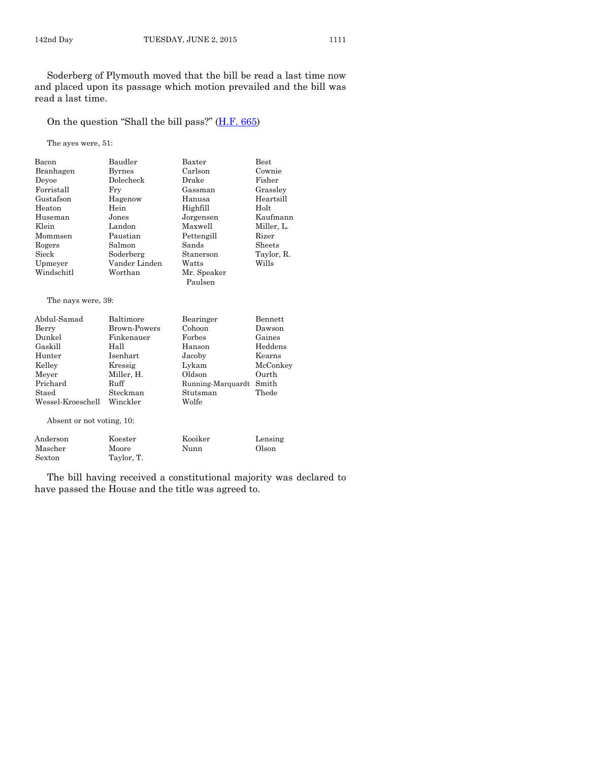Soderberg of Plymouth moved that the bill be read a last time now and placed upon its passage which motion prevailed and the bill was read a last time.

#### On the question "Shall the bill pass?" [\(H.F. 665\)](http://coolice.legis.iowa.gov/Cool-ICE/default.asp?Category=billinfo&Service=Billbook&frame=1&GA=86&hbill=HF665)

The ayes were, 51:

| Bacon                     | Baudler             | Baxter            | <b>Best</b>    |
|---------------------------|---------------------|-------------------|----------------|
| Branhagen                 | <b>Byrnes</b>       | Carlson           | Cownie         |
| Devoe                     | Dolecheck           | Drake             | Fisher         |
| Forristall                | Fry                 | Gassman           | Grassley       |
| Gustafson                 | Hagenow             | Hanusa            | Heartsill      |
| Heaton                    | Hein                | Highfill          | Holt           |
| Huseman                   | Jones               | Jorgensen         | Kaufmann       |
| Klein                     | Landon              | Maxwell           | Miller, L.     |
| Mommsen                   | Paustian            | Pettengill        | Rizer          |
| Rogers                    | Salmon              | Sands             | Sheets         |
| Sieck                     | Soderberg           | Stanerson         | Taylor, R.     |
| Upmeyer                   | Vander Linden       | Watts             | Wills          |
| Windschitl                | Worthan             | Mr. Speaker       |                |
|                           |                     | Paulsen           |                |
| The nays were, 39:        |                     |                   |                |
| Abdul-Samad               | Baltimore           | Bearinger         | <b>Bennett</b> |
| Berry                     | <b>Brown-Powers</b> | Cohoon            | Dawson         |
| Dunkel                    | Finkenauer          | Forbes            | Gaines         |
| Gaskill                   | Hall                | Hanson            | Heddens        |
| Hunter                    | Isenhart            | Jacoby            | Kearns         |
| Kelley                    | Kressig             | Lykam             | McConkey       |
| Meyer                     | Miller, H.          | Oldson            | Ourth          |
| Prichard                  | Ruff                | Running-Marquardt | Smith          |
| Staed                     | Steckman            | Stutsman          | Thede          |
| Wessel-Kroeschell         | Winckler            | Wolfe             |                |
| Absent or not voting, 10: |                     |                   |                |
| Anderson                  | Koester             | Kooiker           | Lensing        |

The bill having received a constitutional majority was declared to have passed the House and the title was agreed to.

Mascher Moore Nunn Olson

Sexton Taylor, T.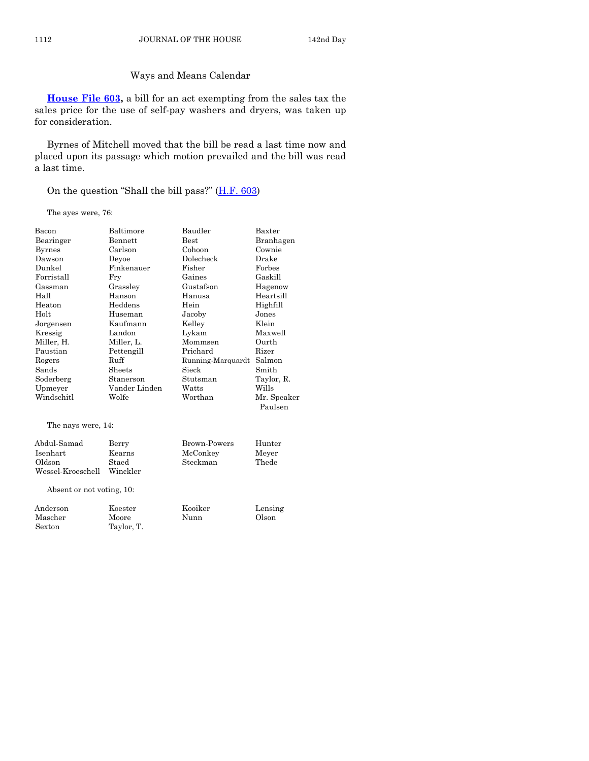# Ways and Means Calendar

**[House File 603,](http://coolice.legis.iowa.gov/Cool-ICE/default.asp?Category=billinfo&Service=Billbook&frame=1&GA=86&hbill=HF603)** a bill for an act exempting from the sales tax the sales price for the use of self-pay washers and dryers, was taken up for consideration.

Byrnes of Mitchell moved that the bill be read a last time now and placed upon its passage which motion prevailed and the bill was read a last time.

On the question "Shall the bill pass?" [\(H.F. 603\)](http://coolice.legis.iowa.gov/Cool-ICE/default.asp?Category=billinfo&Service=Billbook&frame=1&GA=86&hbill=HF603)

The ayes were, 76:

Sexton Taylor, T.

| Bacon                     | Baltimore     | Baudler           | Baxter                 |
|---------------------------|---------------|-------------------|------------------------|
| Bearinger                 | Bennett       | <b>Best</b>       | Branhagen              |
| <b>Byrnes</b>             | Carlson       | Cohoon            | Cownie                 |
| Dawson                    | Deyoe         | Dolecheck         | Drake                  |
| Dunkel                    | Finkenauer    | Fisher            | Forbes                 |
| Forristall                | Fry           | Gaines            | Gaskill                |
| Gassman                   | Grassley      | Gustafson         | Hagenow                |
| Hall                      | Hanson        | Hanusa            | Heartsill              |
| Heaton                    | Heddens       | Hein              | Highfill               |
| Holt                      | Huseman       | Jacoby            | Jones                  |
| Jorgensen                 | Kaufmann      | Kelley            | Klein                  |
| Kressig                   | Landon        | Lykam             | Maxwell                |
| Miller, H.                | Miller, L.    | Mommsen           | Ourth                  |
| Paustian                  | Pettengill    | Prichard          | Rizer                  |
| Rogers                    | Ruff          | Running-Marquardt | Salmon                 |
| Sands                     | Sheets        | Sieck             | Smith                  |
| Soderberg                 | Stanerson     | Stutsman          | Taylor, R.             |
| Upmeyer                   | Vander Linden | Watts             | Wills                  |
| Windschitl                | Wolfe         | Worthan           | Mr. Speaker<br>Paulsen |
| The nays were, 14:        |               |                   |                        |
| Abdul-Samad               | Berry         | Brown-Powers      | Hunter                 |
| Isenhart                  | Kearns        | McConkey          | Meyer                  |
| Oldson                    | Staed         | Steckman          | Thede                  |
| Wessel-Kroeschell         | Winckler      |                   |                        |
| Absent or not voting, 10: |               |                   |                        |
| Anderson                  | Koester       | Kooiker           | Lensing                |
| Mascher                   | Moore         | Nunn              | Olson                  |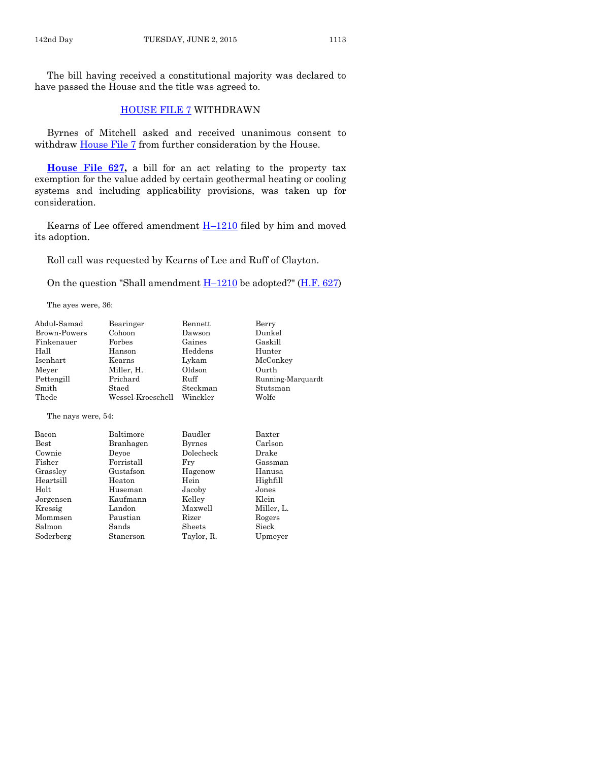The bill having received a constitutional majority was declared to have passed the House and the title was agreed to.

#### [HOUSE FILE 7](http://coolice.legis.iowa.gov/Cool-ICE/default.asp?Category=billinfo&Service=Billbook&frame=1&GA=86&hbill=HF7) WITHDRAWN

Byrnes of Mitchell asked and received unanimous consent to withdraw [House File 7](http://coolice.legis.iowa.gov/Cool-ICE/default.asp?Category=billinfo&Service=Billbook&frame=1&GA=86&hbill=HF7) from further consideration by the House.

**[House File 627,](http://coolice.legis.iowa.gov/Cool-ICE/default.asp?Category=billinfo&Service=Billbook&frame=1&GA=86&hbill=HF627)** a bill for an act relating to the property tax exemption for the value added by certain geothermal heating or cooling systems and including applicability provisions, was taken up for consideration.

Kearns of Lee offered amendment  $H-1210$  $H-1210$  filed by him and moved its adoption.

Roll call was requested by Kearns of Lee and Ruff of Clayton.

On the question "Shall amendment  $H-1210$  $H-1210$  be adopted?" [\(H.F. 627\)](http://coolice.legis.iowa.gov/Cool-ICE/default.asp?Category=billinfo&Service=Billbook&frame=1&GA=86&hbill=HF627)

The ayes were, 36:

| Abdul-Samad         | Bearinger         | Bennett       | Berry             |
|---------------------|-------------------|---------------|-------------------|
| <b>Brown-Powers</b> | Cohoon            | Dawson        | Dunkel            |
| Finkenauer          | Forbes            | Gaines        | Gaskill           |
| Hall                | Hanson            | Heddens       | Hunter            |
| Isenhart            | Kearns            | Lykam         | McConkey          |
| Meyer               | Miller, H.        | Oldson        | Ourth             |
| Pettengill          | Prichard          | Ruff          | Running-Marquardt |
| Smith               | Staed             | Steckman      | Stutsman          |
| Thede               | Wessel-Kroeschell | Winckler      | Wolfe             |
| The nays were, 54:  |                   |               |                   |
| Bacon               | Baltimore         | Baudler       | Baxter            |
| Best                | Branhagen         | <b>Byrnes</b> | Carlson           |
| Cownie              | Deyoe             | Dolecheck     | Drake             |
| Fisher              | Forristall        | Fry           | Gassman           |
| Grassley            | Gustafson         | Hagenow       | Hanusa            |
| Heartsill           | Heaton            | Hein          | Highfill          |
| Holt                | Huseman           | Jacoby        | Jones             |
| Jorgensen           | Kaufmann          | Kelley        | Klein             |
| Kressig             | Landon            | Maxwell       | Miller, L.        |
| Mommsen             | Paustian          | Rizer         | Rogers            |
| Salmon              | Sands             | Sheets        | Sieck             |
| Soderberg           | Stanerson         | Taylor, R.    | Upmeyer           |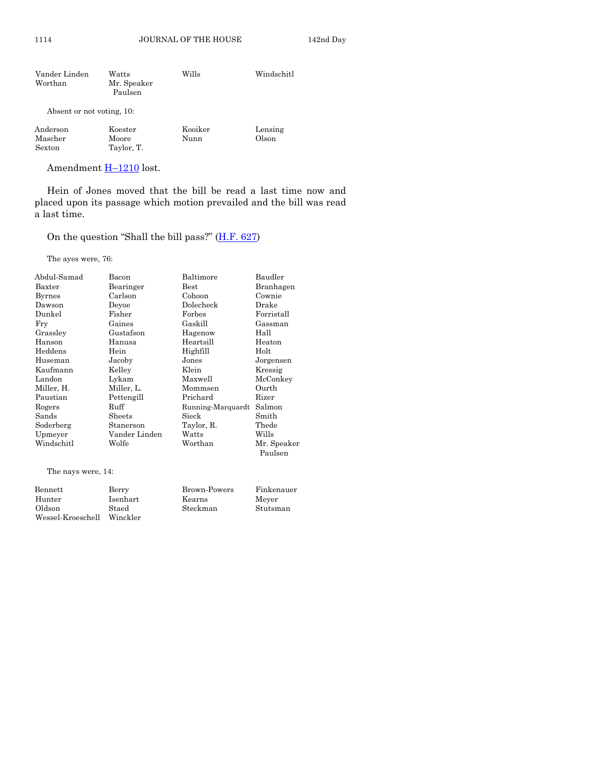| Vander Linden<br>Worthan      | Watts<br>Mr. Speaker<br>Paulsen | Wills           | Windschitl       |
|-------------------------------|---------------------------------|-----------------|------------------|
| Absent or not voting, 10:     |                                 |                 |                  |
| Anderson<br>Mascher<br>Sexton | Koester<br>Moore<br>Taylor, T.  | Kooiker<br>Nunn | Lensing<br>Olson |

Amendment **H**-[1210](http://coolice.legis.iowa.gov/Cool-ICE/default.asp?Category=billinfo&Service=Billbook&frame=1&GA=86&hbill=H1210) lost.

Hein of Jones moved that the bill be read a last time now and placed upon its passage which motion prevailed and the bill was read a last time.

On the question "Shall the bill pass?" ([H.F. 627\)](http://coolice.legis.iowa.gov/Cool-ICE/default.asp?Category=billinfo&Service=Billbook&frame=1&GA=86&hbill=HF627)

The ayes were, 76:

| Abdul-Samad        | Bacon         | Baltimore         | Baudler     |
|--------------------|---------------|-------------------|-------------|
| Baxter             | Bearinger     | $_{\rm Best}$     | Branhagen   |
| Byrnes             | Carlson       | Cohoon            | Cownie      |
| Dawson             | Deyoe         | Dolecheck         | Drake       |
| Dunkel             | Fisher        | Forbes            | Forristall  |
| Fry                | Gaines        | Gaskill           | Gassman     |
| Grassley           | Gustafson     | Hagenow           | Hall        |
| Hanson             | Hanusa        | Heartsill         | Heaton      |
| Heddens            | Hein          | Highfill          | Holt        |
| Huseman            | Jacoby        | Jones             | Jorgensen   |
| Kaufmann           | Kelley        | Klein             | Kressig     |
| Landon             | Lykam         | Maxwell           | McConkey    |
| Miller, H.         | Miller, L.    | Mommsen           | Ourth       |
| Paustian           | Pettengill    | Prichard          | Rizer       |
| Rogers             | Ruff          | Running-Marquardt | Salmon      |
| Sands              | Sheets        | Sieck             | Smith       |
| Soderberg          | Stanerson     | Taylor, R.        | Thede       |
| Upmeyer            | Vander Linden | Watts             | Wills       |
| Windschitl         | Wolfe         | Worthan           | Mr. Speaker |
|                    |               |                   | Paulsen     |
| The nays were, 14: |               |                   |             |

| Bennett           | Berry    | Brown-Powers | Finkenauer |
|-------------------|----------|--------------|------------|
| Hunter            | Isenhart | Kearns       | Mever      |
| Oldson            | Staed    | Steckman     | Stutsman   |
| Wessel-Kroeschell | Winckler |              |            |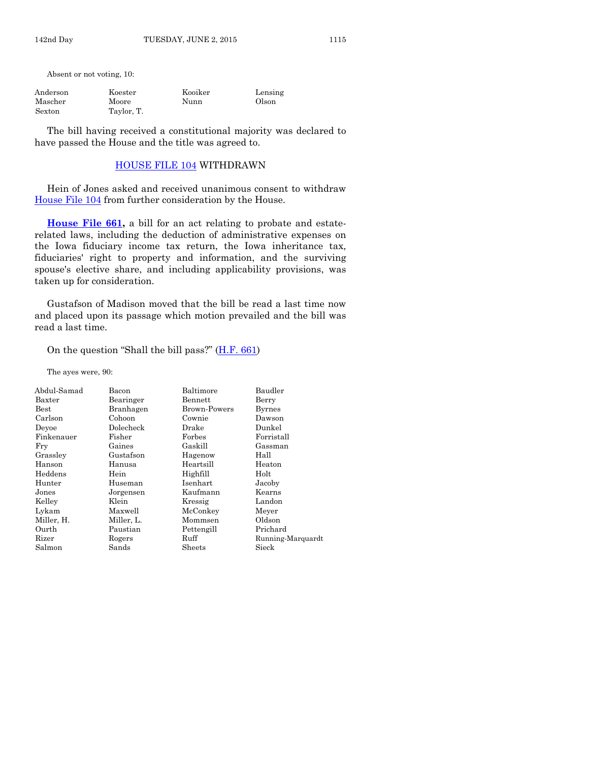Absent or not voting, 10:

| Anderson | Koester    | Kooiker | Lensing |
|----------|------------|---------|---------|
| Mascher  | Moore      | Nunn    | Olson   |
| Sexton   | Taylor, T. |         |         |

The bill having received a constitutional majority was declared to have passed the House and the title was agreed to.

#### [HOUSE FILE 104](http://coolice.legis.iowa.gov/Cool-ICE/default.asp?Category=billinfo&Service=Billbook&frame=1&GA=86&hbill=HF104) WITHDRAWN

Hein of Jones asked and received unanimous consent to withdraw [House File 104](http://coolice.legis.iowa.gov/Cool-ICE/default.asp?Category=billinfo&Service=Billbook&frame=1&GA=86&hbill=HF104) from further consideration by the House.

**[House File 661,](http://coolice.legis.iowa.gov/Cool-ICE/default.asp?Category=billinfo&Service=Billbook&frame=1&GA=86&hbill=HF661)** a bill for an act relating to probate and estaterelated laws, including the deduction of administrative expenses on the Iowa fiduciary income tax return, the Iowa inheritance tax, fiduciaries' right to property and information, and the surviving spouse's elective share, and including applicability provisions, was taken up for consideration.

Gustafson of Madison moved that the bill be read a last time now and placed upon its passage which motion prevailed and the bill was read a last time.

#### On the question "Shall the bill pass?"  $(H.F. 661)$  $(H.F. 661)$

The ayes were, 90:

| Bacon      | Baltimore    | Baudler           |
|------------|--------------|-------------------|
| Bearinger  | Bennett      | Berry             |
| Branhagen  | Brown-Powers | <b>Byrnes</b>     |
| Cohoon     | Cownie       | Dawson            |
| Dolecheck  | Drake        | Dunkel            |
| Fisher     | Forbes       | Forristall        |
| Gaines     | Gaskill      | Gassman           |
| Gustafson  | Hagenow      | Hall              |
| Hanusa     | Heartsill    | Heaton            |
| Hein       | Highfill     | Holt              |
| Huseman    | Isenhart     | Jacoby            |
| Jorgensen  | Kaufmann     | Kearns            |
| Klein      | Kressig      | Landon            |
| Maxwell    | McConkey     | Meyer             |
| Miller, L. | Mommsen      | Oldson            |
| Paustian   | Pettengill   | Prichard          |
| Rogers     | Ruff         | Running-Marquardt |
| Sands      | Sheets       | Sieck             |
|            |              |                   |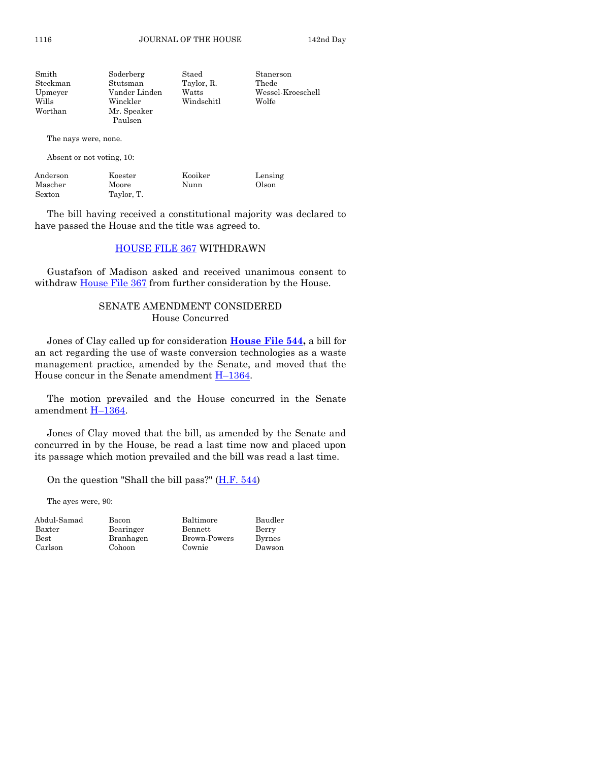| Smith    | Soderberg     | Staed      | Stanerson         |
|----------|---------------|------------|-------------------|
| Steckman | Stutsman      | Taylor, R. | Thede             |
| Upmeyer  | Vander Linden | Watts      | Wessel-Kroeschell |
| Wills    | Winckler      | Windschitl | Wolfe             |
| Worthan  | Mr. Speaker   |            |                   |
|          | Paulsen       |            |                   |

The nays were, none.

Absent or not voting, 10:

| Anderson | Koester    | Kooiker | Lensing |
|----------|------------|---------|---------|
| Mascher  | Moore      | Nunn    | Olson   |
| Sexton   | Taylor, T. |         |         |

The bill having received a constitutional majority was declared to have passed the House and the title was agreed to.

#### [HOUSE FILE 367](http://coolice.legis.iowa.gov/Cool-ICE/default.asp?Category=billinfo&Service=Billbook&frame=1&GA=86&hbill=HF367) WITHDRAWN

Gustafson of Madison asked and received unanimous consent to withdraw **House File 367** from further consideration by the House.

# SENATE AMENDMENT CONSIDERED House Concurred

Jones of Clay called up for consideration **[House File 544,](http://coolice.legis.iowa.gov/Cool-ICE/default.asp?Category=billinfo&Service=Billbook&frame=1&GA=86&hbill=HF544)** a bill for an act regarding the use of waste conversion technologies as a waste management practice, amended by the Senate, and moved that the House concur in the Senate amendment  $H-1364$ .

The motion prevailed and the House concurred in the Senate amendment H–[1364.](http://coolice.legis.iowa.gov/Cool-ICE/default.asp?Category=billinfo&Service=Billbook&frame=1&GA=86&hbill=H1364)

Jones of Clay moved that the bill, as amended by the Senate and concurred in by the House, be read a last time now and placed upon its passage which motion prevailed and the bill was read a last time.

On the question "Shall the bill pass?" [\(H.F. 544\)](http://coolice.legis.iowa.gov/Cool-ICE/default.asp?Category=billinfo&Service=Billbook&frame=1&GA=86&hbill=HF544)

The ayes were, 90:

| Abdul-Sam        |
|------------------|
| $_{\rm{Baxter}}$ |
| Best             |
| Carlson          |

Abdul-Samad Bacon Baltimore Baudler Bearinger Bennett Berry Branhagen Brown-Powers Byrnes Cohoon Cownie Dawson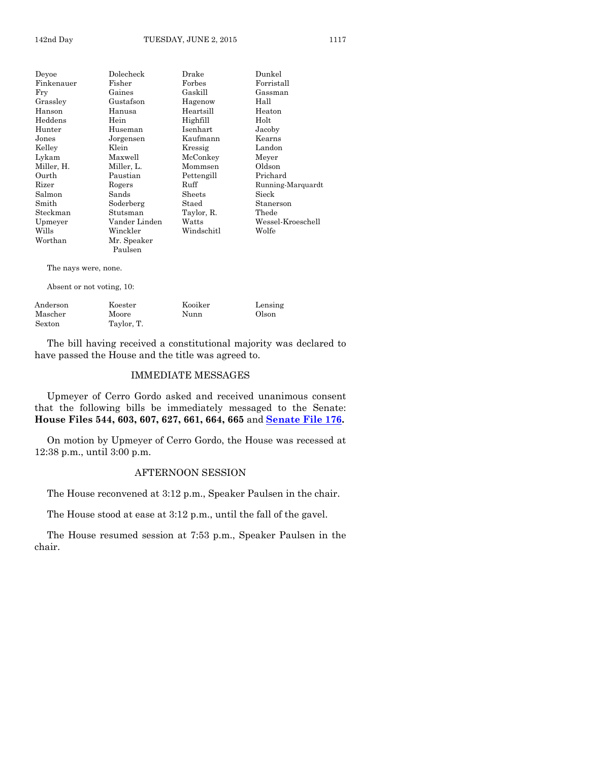| Deyoe          | $\rm Dolecheck$ | Drake      | Dunkel            |
|----------------|-----------------|------------|-------------------|
| Finkenauer     | Fisher          | Forbes     | Forristall        |
| Fry            | Gaines          | Gaskill    | Gassman           |
| Grasslev       | Gustafson       | Hagenow    | Hall              |
| Hanson         | Hanusa          | Heartsill  | Heaton            |
| $\rm{Heddens}$ | Hein            | Highfill   | Holt              |
| Hunter         | Huseman         | Isenhart   | Jacoby            |
| ${\rm Jones}$  | Jorgensen       | Kaufmann   | Kearns            |
| Kellev         | Klein           | Kressig    | Landon            |
| Lykam          | Maxwell         | McConkey   | Meyer             |
| Miller, H.     | Miller, L.      | Mommsen    | Oldson            |
| Ourth          | Paustian        | Pettengill | Prichard          |
| Rizer          | Rogers          | Ruff       | Running-Marquardt |
| Salmon         | Sands           | Sheets     | Sieck             |
| Smith          | Soderberg       | Staed      | Stanerson         |
| Steckman       | Stutsman        | Taylor, R. | Thede             |
| Upmeyer        | Vander Linden   | Watts      | Wessel-Kroeschell |
| Wills          | Winckler        | Windschitl | Wolfe             |
| Worthan        | Mr. Speaker     |            |                   |
|                | Paulsen         |            |                   |

The nays were, none.

Absent or not voting, 10:

| Anderson | Koester    | Kooiker | Lensing |
|----------|------------|---------|---------|
| Mascher  | Moore      | Nunn    | Olson   |
| Sexton   | Taylor, T. |         |         |

The bill having received a constitutional majority was declared to have passed the House and the title was agreed to.

#### IMMEDIATE MESSAGES

Upmeyer of Cerro Gordo asked and received unanimous consent that the following bills be immediately messaged to the Senate: **House Files 544, 603, 607, 627, 661, 664, 665** and **[Senate File 176.](http://coolice.legis.iowa.gov/Cool-ICE/default.asp?Category=billinfo&Service=Billbook&frame=1&GA=86&hbill=SF176)**

On motion by Upmeyer of Cerro Gordo, the House was recessed at 12:38 p.m., until 3:00 p.m.

# AFTERNOON SESSION

The House reconvened at 3:12 p.m., Speaker Paulsen in the chair.

The House stood at ease at 3:12 p.m., until the fall of the gavel.

The House resumed session at 7:53 p.m., Speaker Paulsen in the chair.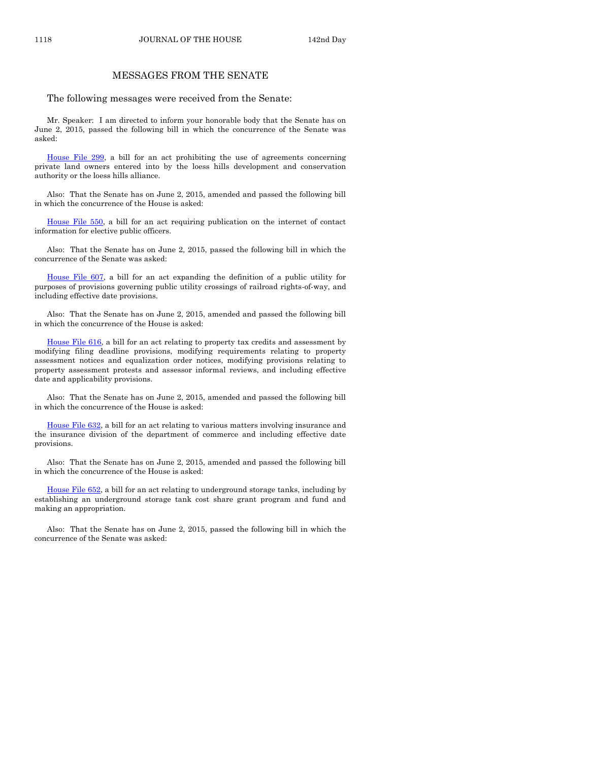#### MESSAGES FROM THE SENATE

The following messages were received from the Senate:

Mr. Speaker: I am directed to inform your honorable body that the Senate has on June 2, 2015, passed the following bill in which the concurrence of the Senate was asked:

[House File 299,](http://coolice.legis.iowa.gov/Cool-ICE/default.asp?Category=billinfo&Service=Billbook&frame=1&GA=86&hbill=HF299) a bill for an act prohibiting the use of agreements concerning private land owners entered into by the loess hills development and conservation authority or the loess hills alliance.

Also: That the Senate has on June 2, 2015, amended and passed the following bill in which the concurrence of the House is asked:

[House File 550,](http://coolice.legis.iowa.gov/Cool-ICE/default.asp?Category=billinfo&Service=Billbook&frame=1&GA=86&hbill=HF550) a bill for an act requiring publication on the internet of contact information for elective public officers.

Also: That the Senate has on June 2, 2015, passed the following bill in which the concurrence of the Senate was asked:

[House File 607,](http://coolice.legis.iowa.gov/Cool-ICE/default.asp?Category=billinfo&Service=Billbook&frame=1&GA=86&hbill=HF607) a bill for an act expanding the definition of a public utility for purposes of provisions governing public utility crossings of railroad rights-of-way, and including effective date provisions.

Also: That the Senate has on June 2, 2015, amended and passed the following bill in which the concurrence of the House is asked:

[House File 616,](http://coolice.legis.iowa.gov/Cool-ICE/default.asp?Category=billinfo&Service=Billbook&frame=1&GA=86&hbill=HF616) a bill for an act relating to property tax credits and assessment by modifying filing deadline provisions, modifying requirements relating to property assessment notices and equalization order notices, modifying provisions relating to property assessment protests and assessor informal reviews, and including effective date and applicability provisions.

Also: That the Senate has on June 2, 2015, amended and passed the following bill in which the concurrence of the House is asked:

[House File 632,](http://coolice.legis.iowa.gov/Cool-ICE/default.asp?Category=billinfo&Service=Billbook&frame=1&GA=86&hbill=HF632) a bill for an act relating to various matters involving insurance and the insurance division of the department of commerce and including effective date provisions.

Also: That the Senate has on June 2, 2015, amended and passed the following bill in which the concurrence of the House is asked:

[House File 652,](http://coolice.legis.iowa.gov/Cool-ICE/default.asp?Category=billinfo&Service=Billbook&frame=1&GA=86&hbill=HF652) a bill for an act relating to underground storage tanks, including by establishing an underground storage tank cost share grant program and fund and making an appropriation.

Also: That the Senate has on June 2, 2015, passed the following bill in which the concurrence of the Senate was asked: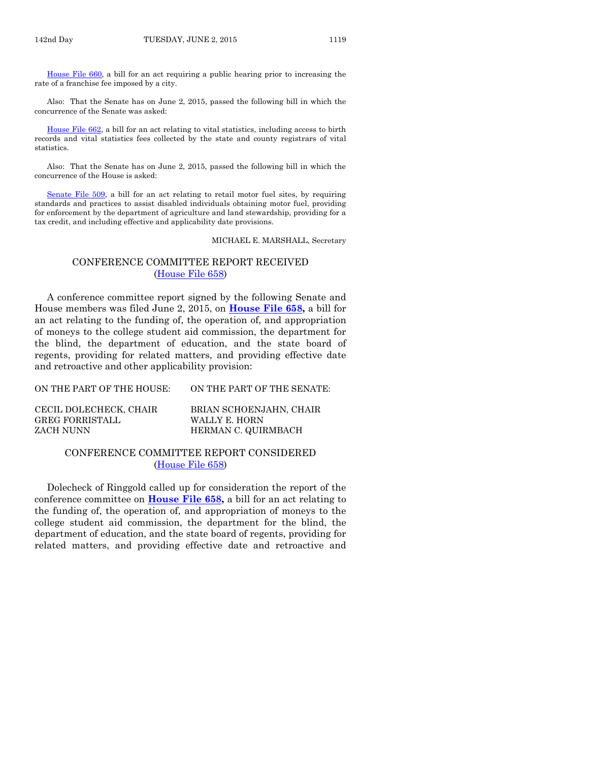[House File 660,](http://coolice.legis.iowa.gov/Cool-ICE/default.asp?Category=billinfo&Service=Billbook&frame=1&GA=86&hbill=HF660) a bill for an act requiring a public hearing prior to increasing the rate of a franchise fee imposed by a city.

Also: That the Senate has on June 2, 2015, passed the following bill in which the concurrence of the Senate was asked:

[House File 662,](http://coolice.legis.iowa.gov/Cool-ICE/default.asp?Category=billinfo&Service=Billbook&frame=1&GA=86&hbill=HF662) a bill for an act relating to vital statistics, including access to birth records and vital statistics fees collected by the state and county registrars of vital statistics.

Also: That the Senate has on June 2, 2015, passed the following bill in which the concurrence of the House is asked:

[Senate File 509,](http://coolice.legis.iowa.gov/Cool-ICE/default.asp?Category=billinfo&Service=Billbook&frame=1&GA=86&hbill=SF509) a bill for an act relating to retail motor fuel sites, by requiring standards and practices to assist disabled individuals obtaining motor fuel, providing for enforcement by the department of agriculture and land stewardship, providing for a tax credit, and including effective and applicability date provisions.

MICHAEL E. MARSHALL, Secretary

#### CONFERENCE COMMITTEE REPORT RECEIVED [\(House File 658\)](http://coolice.legis.iowa.gov/Cool-ICE/default.asp?Category=billinfo&Service=Billbook&frame=1&GA=86&hbill=HF658)

A conference committee report signed by the following Senate and House members was filed June 2, 2015, on **[House File 658,](http://coolice.legis.iowa.gov/Cool-ICE/default.asp?Category=billinfo&Service=Billbook&frame=1&GA=86&hbill=HF658)** a bill for an act relating to the funding of, the operation of, and appropriation of moneys to the college student aid commission, the department for the blind, the department of education, and the state board of regents, providing for related matters, and providing effective date and retroactive and other applicability provision:

| ON THE PART OF THE HOUSE: | ON THE PART OF THE SENATE: |
|---------------------------|----------------------------|
| CECIL DOLECHECK, CHAIR    | BRIAN SCHOENJAHN, CHAIR    |
| GREG FORRISTALL           | WALLY E. HORN              |

ZACH NUNN HERMAN C. QUIRMBACH

#### CONFERENCE COMMITTEE REPORT CONSIDERED [\(House File 658\)](http://coolice.legis.iowa.gov/Cool-ICE/default.asp?Category=billinfo&Service=Billbook&frame=1&GA=86&hbill=HF658)

Dolecheck of Ringgold called up for consideration the report of the conference committee on **[House File 658,](http://coolice.legis.iowa.gov/Cool-ICE/default.asp?Category=billinfo&Service=Billbook&frame=1&GA=86&hbill=HF658)** a bill for an act relating to the funding of, the operation of, and appropriation of moneys to the college student aid commission, the department for the blind, the department of education, and the state board of regents, providing for related matters, and providing effective date and retroactive and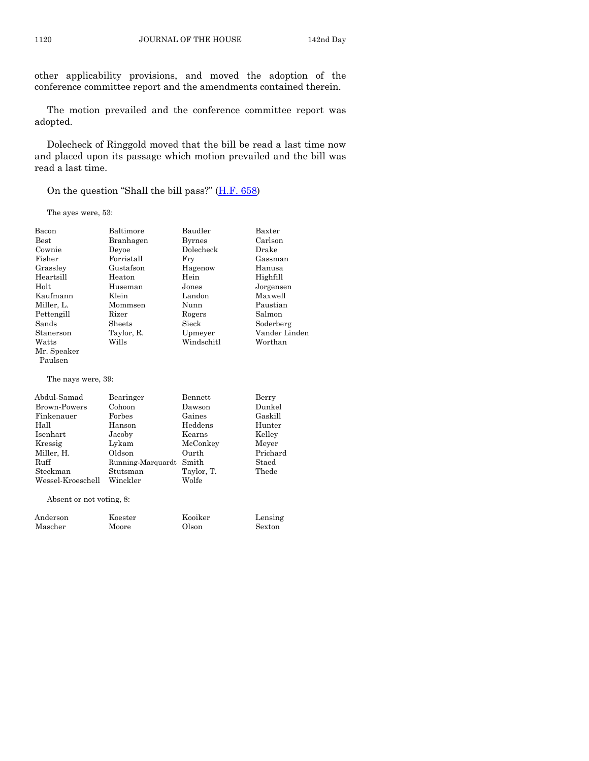other applicability provisions, and moved the adoption of the conference committee report and the amendments contained therein.

The motion prevailed and the conference committee report was adopted.

Dolecheck of Ringgold moved that the bill be read a last time now and placed upon its passage which motion prevailed and the bill was read a last time.

On the question "Shall the bill pass?" ([H.F. 658\)](http://coolice.legis.iowa.gov/Cool-ICE/default.asp?Category=billinfo&Service=Billbook&frame=1&GA=86&hbill=HF658)

The ayes were, 53:

| Bacon                    | Baltimore         | Baudler        | Baxter        |
|--------------------------|-------------------|----------------|---------------|
| <b>Best</b>              | Branhagen         | <b>Byrnes</b>  | Carlson       |
| Cownie                   | Devoe             | Dolecheck      | Drake         |
| Fisher                   | Forristall        | Fry            | Gassman       |
| Grasslev                 | Gustafson         | Hagenow        | Hanusa        |
| Heartsill                | Heaton            | Hein           | Highfill      |
| Holt                     | Huseman           | Jones          | Jorgensen     |
| Kaufmann                 | Klein             | Landon         | Maxwell       |
| Miller, L.               | Mommsen           | Nunn           | Paustian      |
| Pettengill               | Rizer             | Rogers         | Salmon        |
| Sands                    | Sheets            | Sieck          | Soderberg     |
| Stanerson                | Taylor, R.        | Upmeyer        | Vander Linden |
| Watts                    | Wills             | Windschitl     | Worthan       |
| Mr. Speaker              |                   |                |               |
| Paulsen                  |                   |                |               |
| The nays were, 39:       |                   |                |               |
| Abdul-Samad              | Bearinger         | <b>Bennett</b> | Berry         |
| <b>Brown-Powers</b>      | Cohoon            | Dawson         | Dunkel        |
| Finkenauer               | Forbes            | Gaines         | Gaskill       |
| Hall                     | Hanson            | Heddens        | Hunter        |
| Isenhart                 | Jacoby            | Kearns         | Kelley        |
| Kressig                  | Lykam             | McConkey       | Meyer         |
| Miller, H.               | Oldson            | Ourth          | Prichard      |
| Ruff                     | Running-Marquardt | Smith          | Staed         |
| Steckman                 | Stutsman          | Taylor, T.     | Thede         |
| Wessel-Kroeschell        | Winckler          | Wolfe          |               |
| Absent or not voting, 8: |                   |                |               |
| Anderson                 | $\rm Koester$     | Kooiker        | Lensing       |
| Mascher                  | Moore             | Olson          | Sexton        |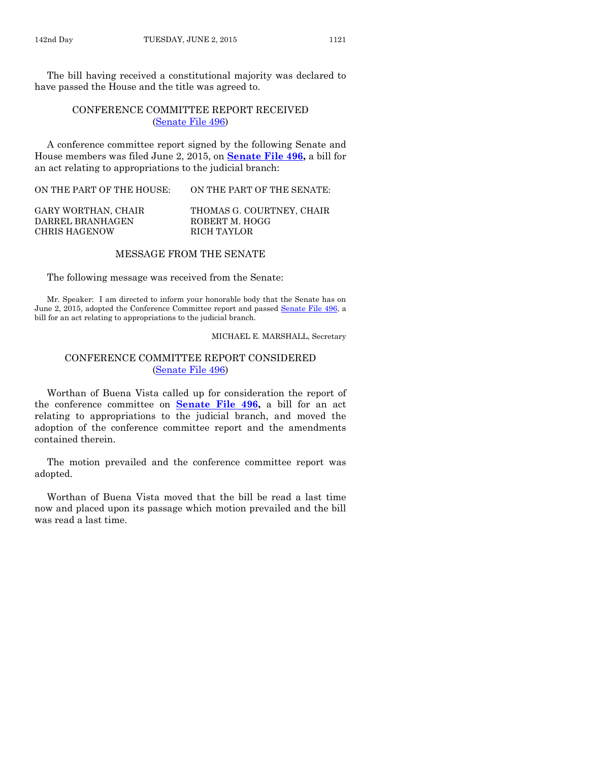The bill having received a constitutional majority was declared to have passed the House and the title was agreed to.

# CONFERENCE COMMITTEE REPORT RECEIVED [\(Senate File 496\)](http://coolice.legis.iowa.gov/Cool-ICE/default.asp?Category=billinfo&Service=Billbook&frame=1&GA=86&hbill=SF496)

A conference committee report signed by the following Senate and House members was filed June 2, 2015, on **[Senate File 496,](http://coolice.legis.iowa.gov/Cool-ICE/default.asp?Category=billinfo&Service=Billbook&frame=1&GA=86&hbill=SF496)** a bill for an act relating to appropriations to the judicial branch:

ON THE PART OF THE HOUSE: ON THE PART OF THE SENATE:

| GARY WORTHAN, CHAIR | THOMAS G. COURTNEY, CHAIR |
|---------------------|---------------------------|
| DARREL BRANHAGEN    | ROBERT M. HOGG            |
| CHRIS HAGENOW       | RICH TAYLOR               |

#### MESSAGE FROM THE SENATE

The following message was received from the Senate:

Mr. Speaker: I am directed to inform your honorable body that the Senate has on June 2, 2015, adopted the Conference Committee report and passed [Senate File 496,](http://coolice.legis.iowa.gov/Cool-ICE/default.asp?Category=billinfo&Service=Billbook&frame=1&GA=86&hbill=SF496) a bill for an act relating to appropriations to the judicial branch.

#### MICHAEL E. MARSHALL, Secretary

#### CONFERENCE COMMITTEE REPORT CONSIDERED [\(Senate File 496\)](http://coolice.legis.iowa.gov/Cool-ICE/default.asp?Category=billinfo&Service=Billbook&frame=1&GA=86&hbill=SF496)

Worthan of Buena Vista called up for consideration the report of the conference committee on **[Senate File 496,](http://coolice.legis.iowa.gov/Cool-ICE/default.asp?Category=billinfo&Service=Billbook&frame=1&GA=86&hbill=SF496)** a bill for an act relating to appropriations to the judicial branch, and moved the adoption of the conference committee report and the amendments contained therein.

The motion prevailed and the conference committee report was adopted.

Worthan of Buena Vista moved that the bill be read a last time now and placed upon its passage which motion prevailed and the bill was read a last time.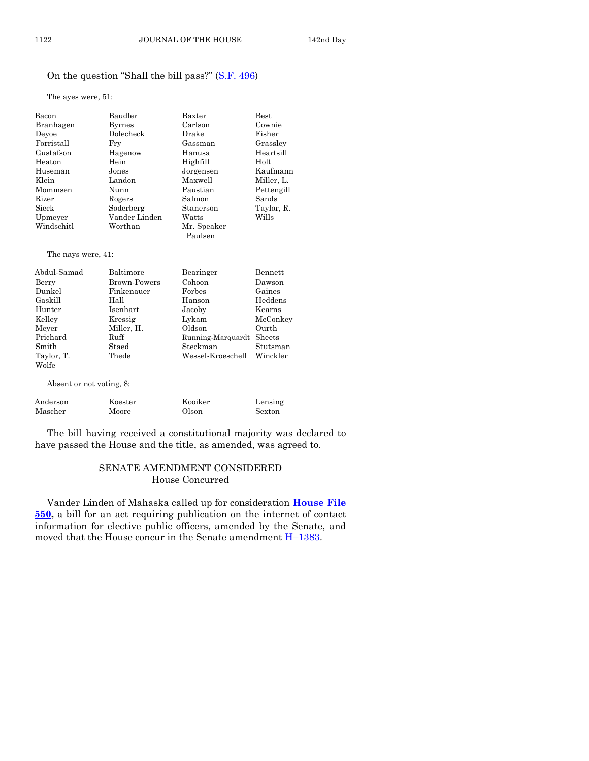# On the question "Shall the bill pass?" ([S.F. 496\)](http://coolice.legis.iowa.gov/Cool-ICE/default.asp?Category=billinfo&Service=Billbook&frame=1&GA=86&hbill=SF496)

The ayes were, 51:

| Bacon      | Baudler       | Baxter                 | <b>Best</b> |
|------------|---------------|------------------------|-------------|
| Branhagen  | <b>Byrnes</b> | Carlson                | Cownie      |
| Devoe      | Dolecheck     | Drake                  | Fisher      |
| Forristall | Fry           | Gassman                | Grassley    |
| Gustafson  | Hagenow       | Hanusa                 | Heartsill   |
| Heaton     | Hein          | Highfill               | Holt        |
| Huseman    | Jones         | Jorgensen              | Kaufmann    |
| Klein      | Landon        | Maxwell                | Miller, L.  |
| Mommsen    | Nunn          | Paustian               | Pettengill  |
| Rizer      | Rogers        | Salmon                 | Sands       |
| Sieck      | Soderberg     | Stanerson              | Taylor, R.  |
| Upmeyer    | Vander Linden | Watts                  | Wills       |
| Windschitl | Worthan       | Mr. Speaker<br>Paulsen |             |
|            |               |                        |             |

The nays were, 41:

| Abdul-Samad | Baltimore    | Bearinger         | Bennett  |
|-------------|--------------|-------------------|----------|
| Berry       | Brown-Powers | Cohoon            | Dawson   |
| Dunkel      | Finkenauer   | Forbes            | Gaines   |
| Gaskill     | Hall         | Hanson            | Heddens  |
| Hunter      | Isenhart     | Jacoby            | Kearns   |
| Kelley      | Kressig      | Lykam             | McConkey |
| Meyer       | Miller, H.   | Oldson            | Ourth    |
| Prichard    | Ruff         | Running-Marquardt | Sheets   |
| Smith       | Staed        | Steckman          | Stutsman |
| Taylor, T.  | Thede        | Wessel-Kroeschell | Winckler |
| Wolfe       |              |                   |          |

Absent or not voting, 8:

| Anderson | Koester | Kooiker | Lensing |
|----------|---------|---------|---------|
| Mascher  | Moore   | Olson   | Sexton  |

The bill having received a constitutional majority was declared to have passed the House and the title, as amended, was agreed to.

#### SENATE AMENDMENT CONSIDERED House Concurred

Vander Linden of Mahaska called up for consideration **[House File](http://coolice.legis.iowa.gov/Cool-ICE/default.asp?Category=billinfo&Service=Billbook&frame=1&GA=86&hbill=HF550)  [550,](http://coolice.legis.iowa.gov/Cool-ICE/default.asp?Category=billinfo&Service=Billbook&frame=1&GA=86&hbill=HF550)** a bill for an act requiring publication on the internet of contact information for elective public officers, amended by the Senate, and moved that the House concur in the Senate amendment  $H-1383$ .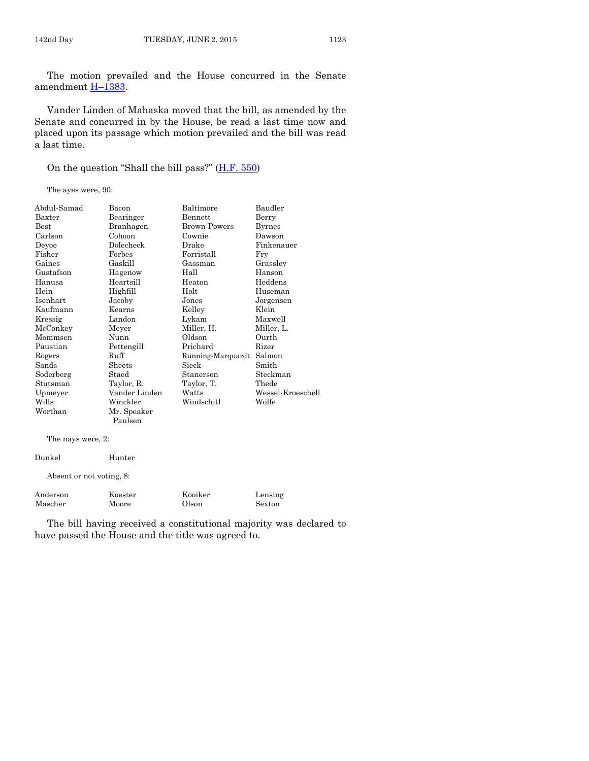The motion prevailed and the House concurred in the Senate amendment H–[1383.](http://coolice.legis.iowa.gov/Cool-ICE/default.asp?Category=billinfo&Service=Billbook&frame=1&GA=86&hbill=H1383)

Vander Linden of Mahaska moved that the bill, as amended by the Senate and concurred in by the House, be read a last time now and placed upon its passage which motion prevailed and the bill was read a last time.

On the question "Shall the bill pass?" ([H.F. 550\)](http://coolice.legis.iowa.gov/Cool-ICE/default.asp?Category=billinfo&Service=Billbook&frame=1&GA=86&hbill=HF550)

The ayes were, 90:

| Abdul-Samad   | Bacon         | Baltimore           | Baudler           |
|---------------|---------------|---------------------|-------------------|
| Baxter        | Bearinger     | Bennett<br>Berry    |                   |
| $_{\rm Best}$ | Branhagen     | <b>Brown-Powers</b> | Byrnes            |
| Carlson       | Cohoon        | Cownie              | Dawson            |
| Deyoe         | Dolecheck     | Drake               | Finkenauer        |
| Fisher        | Forbes        | Forristall          | Fry               |
| Gaines        | Gaskill       | Gassman             | Grassley          |
| Gustafson     | Hagenow       | Hall                | Hanson            |
| Hanusa        | Heartsill     | Heaton              | Heddens           |
| Hein          | Highfill      | Holt                | Huseman           |
| Isenhart      | Jacoby        | Jones               | Jorgensen         |
| Kaufmann      | Kearns        | Kelley              | Klein             |
| Kressig       | Landon        | Lykam               | Maxwell           |
| McConkey      | Meyer         | Miller, H.          | Miller, L.        |
| Mommsen       | Nunn          | Oldson              | Ourth             |
| Paustian      | Pettengill    | Prichard            | Rizer             |
| Rogers        | Ruff          | Running-Marquardt   | Salmon            |
| Sands         | Sheets        | Sieck               | Smith             |
| Soderberg     | Staed         | Stanerson           | Steckman          |
| Stutsman      | Taylor, R.    | Taylor, T.          | Thede             |
| Upmeyer       | Vander Linden | Watts               | Wessel-Kroeschell |
| Wills         | Winckler      | Windschitl          | Wolfe             |
| Worthan       | Mr. Speaker   |                     |                   |
|               | Paulsen       |                     |                   |
|               |               |                     |                   |

The nays were, 2:

| Dunkel   | Hunter                   |         |         |
|----------|--------------------------|---------|---------|
|          | Absent or not voting, 8: |         |         |
| Anderson | Koester                  | Kooiker | Lensing |
| Mascher  | Moore                    | Olson   | Sexton  |

The bill having received a constitutional majority was declared to have passed the House and the title was agreed to.